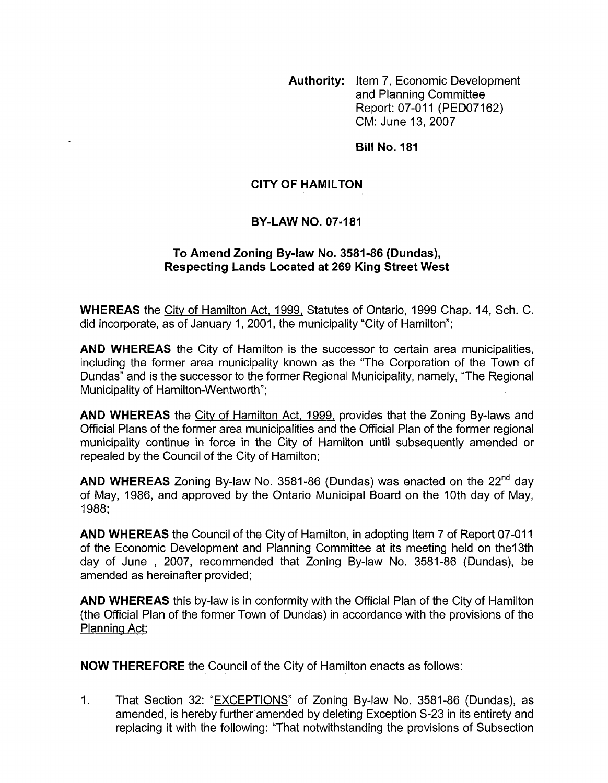**Authority:** Item 7, Economic Development and Planning Committee Report: 07-011 (PED07162) CM: June 13,2007

**Bill No. 181** 

## **CITY OF HAMILTON**

## **BY-LAW NO. 07-181**

## **To Amend Zoning By-law No. 3581-86 (Dundas), Respecting Lands Located at 269 King Street West**

**WHEREAS** the City of Hamilton Act, 1999, Statutes of Ontario, 1999 Chap. 14, Sch. C. did incorporate, as of January 1, 2001, the municipality "City of Hamilton";

**AND WHEREAS** the City of Hamilton is the successor to certain area municipalities, including the former area municipality known as the "The Corporation of the Town of Dundas" and is the successor to the former Regional Municipality, namely, "The Regional Municipality of Hamilton-Wentworth";

**AND WHEREAS** the City of Hamilton Act, 1999, provides that the Zoning By-laws and Official Plans of the former area municipalities and the Official Plan of the former regional municipality continue in force in the City of Hamilton until subsequently amended or repealed by the Council of the City of Hamilton;

**AND WHEREAS** Zoning By-law No. 3581-86 (Dundas) was enacted on the 22<sup>nd</sup> day of May, 1986, and approved by the Ontario Municipal Board on the 10th day of May, 1988;

**AND WHEREAS** the Council of the City of Hamilton, in adopting Item 7 of Report 07-011 of the Economic Development and Planning Committee at its meeting held on thel3th day of June , 2007, recommended that Zoning By-law No. 3581-86 (Dundas), be amended as hereinafter provided;

**AND WHEREAS** this by-law is in conformity with the Official Plan of the City of Hamilton (the Official Plan of the former Town of Dundas) in accordance with the provisions of the Planning Act;

**NOW THEREFORE** the Council of the City of Hamilton enacts as follows:

1. That Section 32: "EXCEPTIONS" of Zoning By-law No. 3581-86 (Dundas), as amended, is hereby further amended by deleting Exception S-23 in its entirety and replacing it with the following: "That notwithstanding the provisions of Subsection